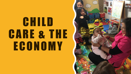# CHILD CARE & THE ECONOMY

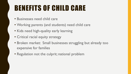## BENEFITS OF CHILD CARE

- Businesses need child care
- Working parents (and students) need child care
- Kids need high-quality early learning
- Critical racial equity strategy
- Broken market: Small businesses struggling but already too expensive for families
- Regulation not the culprit; national problem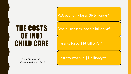WA economy loses \$6 billion/yr\*

### THE COSTS OF (NO) CHILD CARE

\* from Chamber of Commerce Report 2017 WA businesses lose \$2 billion/yr\*

#### Parents forgo \$14 billion/yr\*

Lost tax revenue \$1 billion/yr\*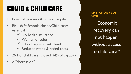## COVID & CHILD CARE

- Essential workers & non-office jobs
- Risk shift: Schools closed/Child cares essential
	- $\checkmark$  No health insurance
	- Women of color
	- $\checkmark$  School age & infant blend
	- Reduced ratios & added costs
- 26% of child cares closed; 34% of capacity
- A "shecession"

**AMY ANDERSON, AWB** "Economic recovery can not happen without access to child care."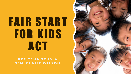# FAIR START FOR KIDS ACT

#### **R E P. TA N A S E N N & SEN. CLAIRE WILSON**

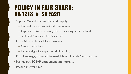### POLICY IN FAIR START: HB 1213 & SB 5237

- Support Workforce and Expand Supply
	- Pay, health care, professional development
	- Capital investments through Early Learning Facilities Fund
	- Technical Assistance for Businesses
- More Affordable for More Families
	- Co-pay reductions
	- Income eligibility expansion (FPL to SMI)
- Dual Language, Trauma Informed, Mental Health Consultation
- Pushes out ECEAP entitlement and more…
- Phased in over time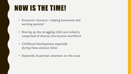## NOW IS THE TIME!

- Economic recovery—helping businesses and working parents!
- Shoring up the struggling child care industry comprised of diverse, low-income workforce
- Childhood development, especially during these anxious times
- Statewide, bi-partisan attention on this issue